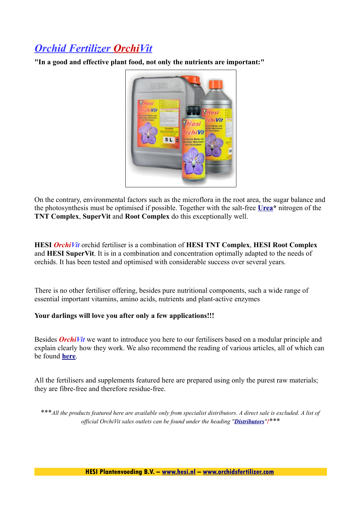## *Orchid Fertilizer OrchiVit*

**"In a good and effective plant food, not only the nutrients are important:"** 



On the contrary, environmental factors such as the microflora in the root area, the sugar balance and the photosynthesis must be optimised if possible. Together with the salt-free **[Urea\\*](http://www.orchidsfertilizer.com/orchidea/gb/index.html#Urea_)** nitrogen of the **TNT Complex**, **SuperVit** and **Root Complex** do this exceptionally well.

**HESI** *OrchiVit* orchid fertiliser is a combination of **HESI TNT Complex**, **HESI Root Complex** and **HESI SuperVit**. It is in a combination and concentration optimally adapted to the needs of orchids. It has been tested and optimised with considerable success over several years.

There is no other fertiliser offering, besides pure nutritional components, such a wide range of essential important vitamins, amino acids, nutrients and plant-active enzymes

#### **Your darlings will love you after only a few applications!!!**

Besides *OrchiVit* we want to introduce you here to our fertilisers based on a modular principle and explain clearly how they work. We also recommend the reading of various articles, all of which can be found **[here](http://www.orchidsfertilizer.com/orchidea/gb/orchstips.html)**.

All the fertilisers and supplements featured here are prepared using only the purest raw materials; they are fibre-free and therefore residue-free.

\*\*\**All the products featured here are available only from specialist distributors. A direct sale is excluded. A list of official OrchiVit sales outlets can be found under the heading "[Distributors](http://www.orchidsfertilizer.com/orchidea/gb/dealer.html)"!*\*\*\*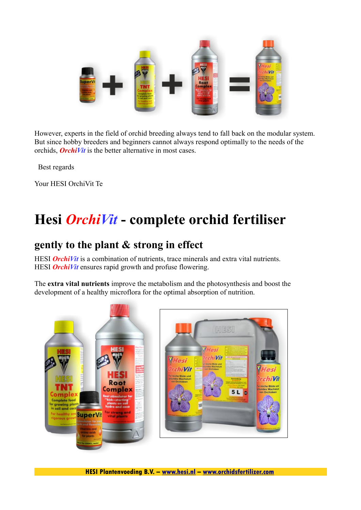

However, experts in the field of orchid breeding always tend to fall back on the modular system. But since hobby breeders and beginners cannot always respond optimally to the needs of the orchids, *OrchiVit* is the better alternative in most cases.

Best regards

Your HESI OrchiVit Te

# **Hesi** *OrchiVit* **- complete orchid fertiliser**

### **gently to the plant & strong in effect**

HESI **OrchiVit** is a combination of nutrients, trace minerals and extra vital nutrients. HESI **OrchiVit** ensures rapid growth and profuse flowering.

The **extra vital nutrients** improve the metabolism and the photosynthesis and boost the development of a healthy microflora for the optimal absorption of nutrition.